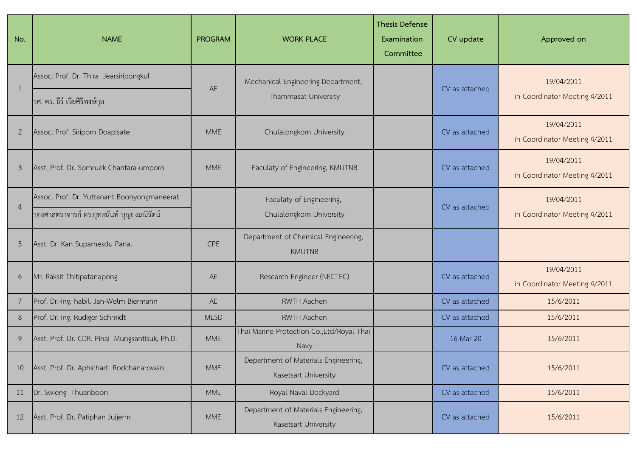| No.            | <b>NAME</b>                                                                              | <b>PROGRAM</b> | <b>WORK PLACE</b>                                            | <b>Thesis Defense</b><br>Examination<br>Committee | CV update      | Approved on                                 |
|----------------|------------------------------------------------------------------------------------------|----------------|--------------------------------------------------------------|---------------------------------------------------|----------------|---------------------------------------------|
|                | Assoc. Prof. Dr. Thira Jearsiripongkul<br>ุรศ. ดร. ธีร์ เจียศิริพงษ์กุล                  | AE             | Mechanical Engineering Department,<br>Thammasat University   |                                                   | CV as attached | 19/04/2011<br>in Coordinator Meeting 4/2011 |
| 2              | Assoc. Prof. Siriporn Doapisate                                                          | <b>MME</b>     | Chulalongkorn University                                     |                                                   | CV as attached | 19/04/2011<br>in Coordinator Meeting 4/2011 |
| $\mathfrak{Z}$ | Asst. Prof. Dr. Somruek Chantara-umporn                                                  | <b>MME</b>     | Faculaty of Engineering, KMUTNB                              |                                                   | CV as attached | 19/04/2011<br>in Coordinator Meeting 4/2011 |
| $\overline{4}$ | Assoc. Prof. Dr. Yuttanant Boonyongmaneerat<br>รองศาสตราจารย์ ดร.ยุทธนันท์ บุญยงมณีรัตน์ |                | Faculaty of Engineering,<br>Chulalongkorn University         |                                                   | CV as attached | 19/04/2011<br>in Coordinator Meeting 4/2011 |
| 5              | Asst. Dr. Kan Supamesdu Pana.                                                            | <b>CPE</b>     | Department of Chemical Engineering,<br><b>KMUTNB</b>         |                                                   |                |                                             |
| 6              | Mr. Raksit Thitipatanapong                                                               | AE             | Research Engineer (NECTEC)                                   |                                                   | CV as attached | 19/04/2011<br>in Coordinator Meeting 4/2011 |
|                | Prof. Dr.-Ing. habil. Jan-Welm Biermann                                                  | AE             | <b>RWTH Aachen</b>                                           |                                                   | CV as attached | 15/6/2011                                   |
| 8              | Prof. Dr.-Ing. Rudiger Schmidt                                                           | <b>MESD</b>    | RWTH Aachen                                                  |                                                   | CV as attached | 15/6/2011                                   |
| 9              | Asst. Prof. Dr. CDR. Pinai Mungsantisuk, Ph.D.                                           | <b>MME</b>     | Thai Marine Protection Co., Ltd/Royal Thai<br>Navy           |                                                   | 16-Mar-20      | 15/6/2011                                   |
| 10             | Asst. Prof. Dr. Aphichart Rodchanarowan                                                  | <b>MME</b>     | Department of Materials Engineering,<br>Kasetsart University |                                                   | CV as attached | 15/6/2011                                   |
| 11             | Dr. Swieng Thuanboon                                                                     | <b>MME</b>     | Royal Naval Dockyard                                         |                                                   | CV as attached | 15/6/2011                                   |
| 12             | Asst. Prof. Dr. Patiphan Juijerm                                                         | <b>MME</b>     | Department of Materials Engineering,<br>Kasetsart University |                                                   | CV as attached | 15/6/2011                                   |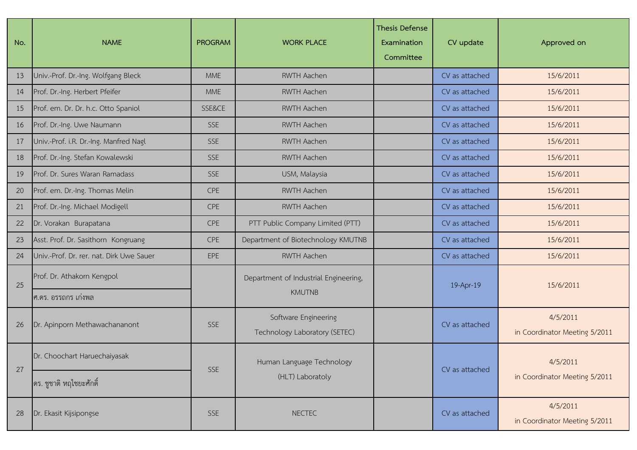| No. | <b>NAME</b>                              | <b>PROGRAM</b> | <b>WORK PLACE</b>                                      | <b>Thesis Defense</b><br>Examination<br>Committee | CV update      | Approved on                               |
|-----|------------------------------------------|----------------|--------------------------------------------------------|---------------------------------------------------|----------------|-------------------------------------------|
| 13  | Univ.-Prof. Dr.-Ing. Wolfgang Bleck      | <b>MME</b>     | <b>RWTH Aachen</b>                                     |                                                   | CV as attached | 15/6/2011                                 |
| 14  | Prof. Dr.-Ing. Herbert Pfeifer           | <b>MME</b>     | <b>RWTH Aachen</b>                                     |                                                   | CV as attached | 15/6/2011                                 |
| 15  | Prof. em. Dr. Dr. h.c. Otto Spaniol      | SSE&CE         | <b>RWTH Aachen</b>                                     |                                                   | CV as attached | 15/6/2011                                 |
| 16  | Prof. Dr.-Ing. Uwe Naumann               | <b>SSE</b>     | <b>RWTH Aachen</b>                                     |                                                   | CV as attached | 15/6/2011                                 |
| 17  | Univ.-Prof. i.R. Dr.-Ing. Manfred Nagl   | <b>SSE</b>     | <b>RWTH Aachen</b>                                     |                                                   | CV as attached | 15/6/2011                                 |
| 18  | Prof. Dr.-Ing. Stefan Kowalewski         | <b>SSE</b>     | <b>RWTH Aachen</b>                                     |                                                   | CV as attached | 15/6/2011                                 |
| 19  | Prof. Dr. Sures Waran Ramadass           | <b>SSE</b>     | USM, Malaysia                                          |                                                   | CV as attached | 15/6/2011                                 |
| 20  | Prof. em. Dr.-Ing. Thomas Melin          | CPE            | RWTH Aachen                                            |                                                   | CV as attached | 15/6/2011                                 |
| 21  | Prof. Dr.-Ing. Michael Modigell          | CPE            | <b>RWTH Aachen</b>                                     |                                                   | CV as attached | 15/6/2011                                 |
| 22  | Dr. Vorakan Burapatana                   | CPE            | PTT Public Company Limited (PTT)                       |                                                   | CV as attached | 15/6/2011                                 |
| 23  | Asst. Prof. Dr. Sasithorn Kongruang      | <b>CPE</b>     | Department of Biotechnology KMUTNB                     |                                                   | CV as attached | 15/6/2011                                 |
| 24  | Univ.-Prof. Dr. rer. nat. Dirk Uwe Sauer | EPE            | <b>RWTH Aachen</b>                                     |                                                   | CV as attached | 15/6/2011                                 |
| 25  | Prof. Dr. Athakorn Kengpol               |                | Department of Industrial Engineering,<br><b>KMUTNB</b> |                                                   | 19-Apr-19      | 15/6/2011                                 |
|     | ศ.ดร. อรรถกร เก่งพล                      |                |                                                        |                                                   |                |                                           |
| 26  | Dr. Apinporn Methawachananont            | <b>SSE</b>     | Software Engineering<br>Technology Laboratory (SETEC)  |                                                   | CV as attached | 4/5/2011<br>in Coordinator Meeting 5/2011 |
| 27  | Dr. Choochart Haruechaiyasak             | <b>SSE</b>     | Human Language Technology                              |                                                   | CV as attached | 4/5/2011                                  |
|     | คร. ชูชาติ หฤไชยะศักดิ์                  |                | (HLT) Laboratoly                                       |                                                   |                | in Coordinator Meeting 5/2011             |
| 28  | Dr. Ekasit Kijsipongse                   | <b>SSE</b>     | <b>NECTEC</b>                                          |                                                   | CV as attached | 4/5/2011<br>in Coordinator Meeting 5/2011 |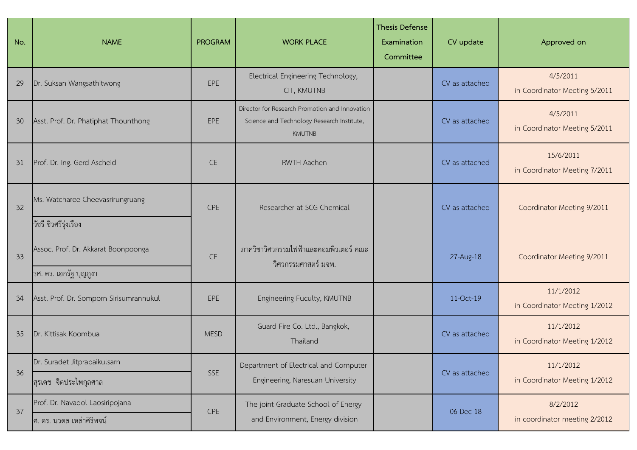| No. | <b>NAME</b>                                                                             | <b>PROGRAM</b> | <b>WORK PLACE</b>                                                                                             | <b>Thesis Defense</b><br>Examination<br>Committee | CV update      | Approved on                                |
|-----|-----------------------------------------------------------------------------------------|----------------|---------------------------------------------------------------------------------------------------------------|---------------------------------------------------|----------------|--------------------------------------------|
| 29  | Dr. Suksan Wangsathitwong                                                               | EPE            | Electrical Engineering Technology,<br>CIT, KMUTNB                                                             |                                                   | CV as attached | 4/5/2011<br>in Coordinator Meeting 5/2011  |
| 30  | Asst. Prof. Dr. Phatiphat Thounthong                                                    | EPE            | Director for Research Promotion and Innovation<br>Science and Technology Research Institute,<br><b>KMUTNB</b> |                                                   | CV as attached | 4/5/2011<br>in Coordinator Meeting 5/2011  |
| 31  | Prof. Dr.-Ing. Gerd Ascheid                                                             | <b>CE</b>      | <b>RWTH Aachen</b>                                                                                            |                                                   | CV as attached | 15/6/2011<br>in Coordinator Meeting 7/2011 |
| 32  | Ms. Watcharee Cheevasrirungruang                                                        | CPE            | Researcher at SCG Chemical                                                                                    |                                                   | CV as attached | Coordinator Meeting 9/2011                 |
| 33  | วัชรี ชีวศรีรุ่งเรือง<br>Assoc. Prof. Dr. Akkarat Boonpoonga<br>ุรศ. ดร. เอกรัฐ บุญภูงา | <b>CE</b>      | ภาควิชาวิศวกรรมไฟฟ้าและคอมพิวเตอร์ คณะ<br>วิศวกรรมศาสตร์ มจพ.                                                 |                                                   | 27-Aug-18      | Coordinator Meeting 9/2011                 |
| 34  | Asst. Prof. Dr. Somporn Sirisumrannukul                                                 | EPE            | Engineering Fuculty, KMUTNB                                                                                   |                                                   | 11-Oct-19      | 11/1/2012<br>in Coordinator Meeting 1/2012 |
| 35  | Dr. Kittisak Koombua                                                                    | <b>MESD</b>    | Guard Fire Co. Ltd., Bangkok,<br>Thailand                                                                     |                                                   | CV as attached | 11/1/2012<br>in Coordinator Meeting 1/2012 |
| 36  | Dr. Suradet Jitprapaikulsarn                                                            | SSE            | Department of Electrical and Computer                                                                         |                                                   | CV as attached | 11/1/2012                                  |
|     | สุรเดช จิตประไพกุลศาล                                                                   |                | Engineering, Naresuan University                                                                              |                                                   |                | in Coordinator Meeting 1/2012              |
| 37  | Prof. Dr. Navadol Laosiripojana<br> ศ. ดร. นวดล เหล่าศิริพจน์                           | CPE            | The joint Graduate School of Energy<br>and Environment, Energy division                                       |                                                   | 06-Dec-18      | 8/2/2012<br>in coordinator meeting 2/2012  |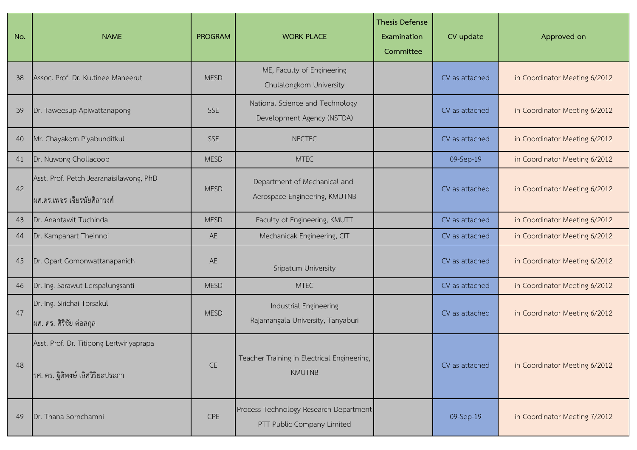| No. | <b>NAME</b>                                                                   | <b>PROGRAM</b> | <b>WORK PLACE</b>                                                    | <b>Thesis Defense</b><br>Examination<br>Committee | CV update      | Approved on                   |
|-----|-------------------------------------------------------------------------------|----------------|----------------------------------------------------------------------|---------------------------------------------------|----------------|-------------------------------|
| 38  | Assoc. Prof. Dr. Kultinee Maneerut                                            | <b>MESD</b>    | ME, Faculty of Engineering<br>Chulalongkorn University               |                                                   | CV as attached | in Coordinator Meeting 6/2012 |
| 39  | Dr. Taweesup Apiwattanapong                                                   | SSE            | National Science and Technology<br>Development Agency (NSTDA)        |                                                   | CV as attached | in Coordinator Meeting 6/2012 |
| 40  | Mr. Chayakorn Piyabunditkul                                                   | <b>SSE</b>     | <b>NECTEC</b>                                                        |                                                   | CV as attached | in Coordinator Meeting 6/2012 |
| 41  | Dr. Nuwong Chollacoop                                                         | <b>MESD</b>    | <b>MTEC</b>                                                          |                                                   | 09-Sep-19      | in Coordinator Meeting 6/2012 |
| 42  | Asst. Prof. Petch Jearanaisilawong, PhD<br> ผศ.ดร.เพชร เจียรนัยศิลาวงศ์       | <b>MESD</b>    | Department of Mechanical and<br>Aerospace Engineering, KMUTNB        |                                                   | CV as attached | in Coordinator Meeting 6/2012 |
| 43  | Dr. Anantawit Tuchinda                                                        | <b>MESD</b>    | Faculty of Engineering, KMUTT                                        |                                                   | CV as attached | in Coordinator Meeting 6/2012 |
| 44  | Dr. Kampanart Theinnoi                                                        | AE             | Mechanicak Engineering, CIT                                          |                                                   | CV as attached | in Coordinator Meeting 6/2012 |
| 45  | Dr. Opart Gomonwattanapanich                                                  | AE             | Sripatum University                                                  |                                                   | CV as attached | in Coordinator Meeting 6/2012 |
| 46  | Dr.-Ing. Sarawut Lerspalungsanti                                              | <b>MESD</b>    | <b>MTEC</b>                                                          |                                                   | CV as attached | in Coordinator Meeting 6/2012 |
| 47  | Dr.-Ing. Sirichai Torsakul<br>ผศ. ดร. ศิริชัย ต่อสกุล                         | <b>MESD</b>    | Industrial Engineering<br>Rajamangala University, Tanyaburi          |                                                   | CV as attached | in Coordinator Meeting 6/2012 |
| 48  | Asst. Prof. Dr. Titipong Lertwiriyaprapa<br>ีรศ. ดร. ฐิติพงษ์ เลิศวิริยะประภา | <b>CE</b>      | Teacher Training in Electrical Engineering,<br><b>KMUTNB</b>         |                                                   | CV as attached | in Coordinator Meeting 6/2012 |
| 49  | Dr. Thana Sornchamni                                                          | <b>CPE</b>     | Process Technology Research Department<br>PTT Public Company Limited |                                                   | 09-Sep-19      | in Coordinator Meeting 7/2012 |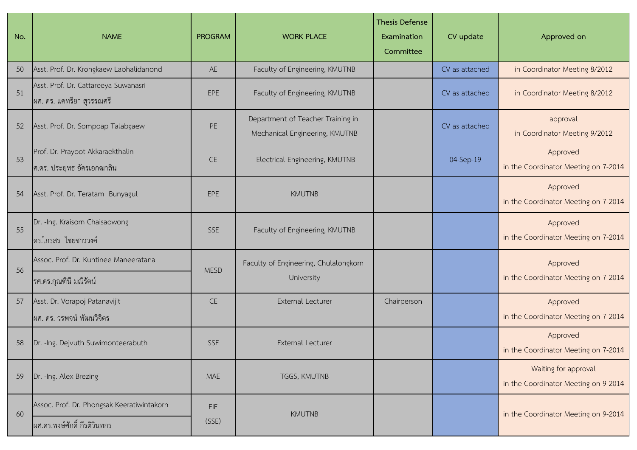| No. | <b>NAME</b>                                                       | <b>PROGRAM</b> | <b>WORK PLACE</b>                                                   | <b>Thesis Defense</b><br>Examination<br>Committee | CV update      | Approved on                                                  |
|-----|-------------------------------------------------------------------|----------------|---------------------------------------------------------------------|---------------------------------------------------|----------------|--------------------------------------------------------------|
| 50  | Asst. Prof. Dr. Krongkaew Laohalidanond                           | AE             | Faculty of Engineering, KMUTNB                                      |                                                   | CV as attached | in Coordinator Meeting 8/2012                                |
| 51  | Asst. Prof. Dr. Cattareeya Suwanasri<br>ผศ. ดร. แคทรียา สุวรรณศรี | <b>EPE</b>     | Faculty of Engineering, KMUTNB                                      |                                                   | CV as attached | in Coordinator Meeting 8/2012                                |
| 52  | Asst. Prof. Dr. Sompoap Talabgaew                                 | PE             | Department of Teacher Training in<br>Mechanical Engineering, KMUTNB |                                                   | CV as attached | approval<br>in Coordinator Meeting 9/2012                    |
| 53  | Prof. Dr. Prayoot Akkaraekthalin<br>ศ.ดร. ประยุทธ อัครเอกฒาลิน    | <b>CE</b>      | Electrical Engineering, KMUTNB                                      |                                                   | 04-Sep-19      | Approved<br>in the Coordinator Meeting on 7-2014             |
| 54  | Asst. Prof. Dr. Teratam Bunyagul                                  | EPE            | <b>KMUTNB</b>                                                       |                                                   |                | Approved<br>in the Coordinator Meeting on 7-2014             |
| 55  | Dr. - Ing. Kraisorn Chaisaowong<br>ดร.ไกรสร ไชยซาววงค์            | <b>SSE</b>     | Faculty of Engineering, KMUTNB                                      |                                                   |                | Approved<br>in the Coordinator Meeting on 7-2014             |
|     | Assoc. Prof. Dr. Kuntinee Maneeratana                             |                | Faculty of Engineering, Chulalongkorn                               |                                                   |                | Approved                                                     |
| 56  | รศ.ดร.กุณฑินี มณีรัตน์                                            | <b>MESD</b>    | University                                                          |                                                   |                | in the Coordinator Meeting on 7-2014                         |
| 57  | Asst. Dr. Vorapoj Patanavijit                                     | <b>CE</b>      | <b>External Lecturer</b>                                            | Chairperson                                       |                | Approved                                                     |
|     | ผศ. ดร. วรพจน์ พัฒนวิจิตร                                         |                |                                                                     |                                                   |                | in the Coordinator Meeting on 7-2014                         |
| 58  | Dr. - Ing. Dejvuth Suwimonteerabuth                               | <b>SSE</b>     | <b>External Lecturer</b>                                            |                                                   |                | Approved<br>in the Coordinator Meeting on 7-2014             |
| 59  | Dr. - Ing. Alex Brezing                                           | <b>MAE</b>     | TGGS, KMUTNB                                                        |                                                   |                | Waiting for approval<br>in the Coordinator Meeting on 9-2014 |
| 60  | Assoc. Prof. Dr. Phongsak Keeratiwintakorn                        | EIE            | <b>KMUTNB</b>                                                       |                                                   |                |                                                              |
|     | ่ ผศ.ดร.พงษ์ศักดิ์ กีรติวินทกร                                    | (SSE)          |                                                                     |                                                   |                | in the Coordinator Meeting on 9-2014                         |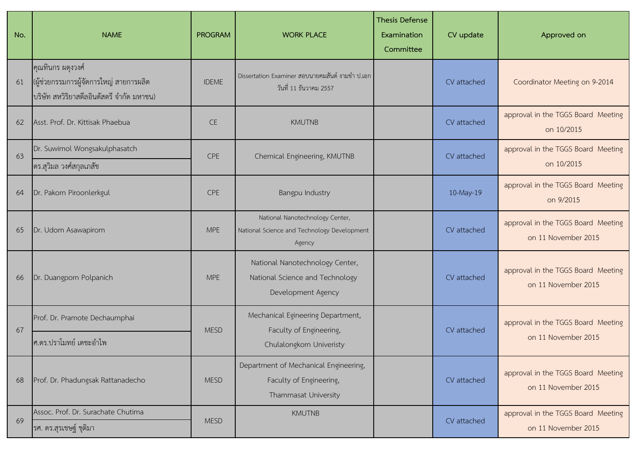| No. | <b>NAME</b>                                                                                               | <b>PROGRAM</b> | <b>WORK PLACE</b>                                                                        | <b>Thesis Defense</b><br>Examination<br>Committee | CV update   | Approved on                                               |
|-----|-----------------------------------------------------------------------------------------------------------|----------------|------------------------------------------------------------------------------------------|---------------------------------------------------|-------------|-----------------------------------------------------------|
| 61  | คุณทินกร ผดุงวงศ์<br>(ผู้ช่วยกรรมการผู้จัดการใหญ่ สายการผลิต<br>บริษัท สหวิริยาสตีลอินดัสตรี จำกัด มหาชน) | <b>IDEME</b>   | Dissertation Examiner สอบนายคมสันต์ งามขำ ป.เอก<br>วันที่ 11 ธันวาคม 2557                |                                                   | CV attached | Coordinator Meeting on 9-2014                             |
| 62  | Asst. Prof. Dr. Kittisak Phaebua                                                                          | <b>CE</b>      | <b>KMUTNB</b>                                                                            |                                                   | CV attached | approval in the TGGS Board Meeting<br>on 10/2015          |
| 63  | Dr. Suwimol Wongsakulphasatch<br>ดร.สุวิมล วงศ์สกุลเภสัช                                                  | CPE            | Chemical Engineering, KMUTNB                                                             |                                                   | CV attached | approval in the TGGS Board Meeting<br>on 10/2015          |
| 64  | Dr. Pakorn Piroonlerkgul                                                                                  | <b>CPE</b>     | Bangpu Industry                                                                          |                                                   | 10-May-19   | approval in the TGGS Board Meeting<br>on 9/2015           |
| 65  | Dr. Udom Asawapirom                                                                                       | <b>MPE</b>     | National Nanotechnology Center,<br>National Science and Technology Development<br>Agency |                                                   | CV attached | approval in the TGGS Board Meeting<br>on 11 November 2015 |
| 66  | Dr. Duangporn Polpanich                                                                                   | <b>MPE</b>     | National Nanotechnology Center,<br>National Science and Technology<br>Development Agency |                                                   | CV attached | approval in the TGGS Board Meeting<br>on 11 November 2015 |
| 67  | Prof. Dr. Pramote Dechaumphai                                                                             | <b>MESD</b>    | Mechanical Egineering Department,<br>Faculty of Engineering,                             |                                                   | CV attached | approval in the TGGS Board Meeting                        |
|     | ศ.ดร.ปราโมทย์ เดชะอำไพ                                                                                    |                | Chulalongkorn Univeristy                                                                 |                                                   |             | on 11 November 2015                                       |
| 68  | Prof. Dr. Phadungsak Rattanadecho                                                                         | <b>MESD</b>    | Department of Mechanical Engineering,<br>Faculty of Engineering,<br>Thammasat University |                                                   | CV attached | approval in the TGGS Board Meeting<br>on 11 November 2015 |
| 69  | Assoc. Prof. Dr. Surachate Chutima                                                                        | <b>MESD</b>    | <b>KMUTNB</b>                                                                            |                                                   | CV attached | approval in the TGGS Board Meeting                        |
|     | รศ. ดร.สุรเชษฐ์ ชุติมา                                                                                    |                |                                                                                          |                                                   |             | on 11 November 2015                                       |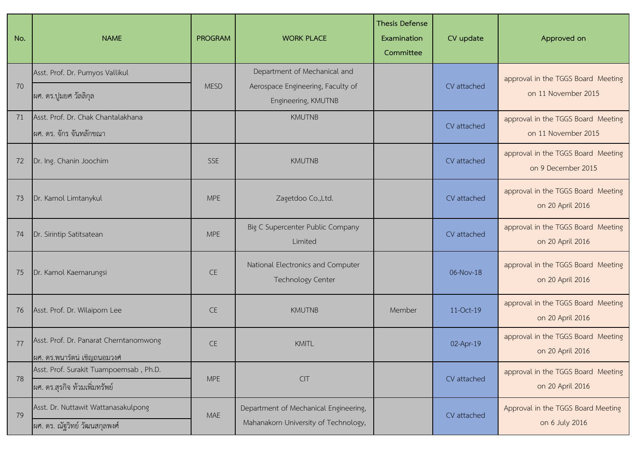| No. | <b>NAME</b>                                                             | <b>PROGRAM</b> | <b>WORK PLACE</b>                                                                        | <b>Thesis Defense</b><br>Examination<br>Committee | CV update   | Approved on                                               |
|-----|-------------------------------------------------------------------------|----------------|------------------------------------------------------------------------------------------|---------------------------------------------------|-------------|-----------------------------------------------------------|
| 70  | Asst. Prof. Dr. Pumyos Vallikul<br>ผศ. ดร.ปูมยศ วัลลิกุล                | <b>MESD</b>    | Department of Mechanical and<br>Aerospace Engineering, Faculty of<br>Engineering, KMUTNB |                                                   | CV attached | approval in the TGGS Board Meeting<br>on 11 November 2015 |
| 71  | Asst. Prof. Dr. Chak Chantalakhana<br>่ ผศ. ดร. จักร จันทลักขณา         |                | <b>KMUTNB</b>                                                                            |                                                   | CV attached | approval in the TGGS Board Meeting<br>on 11 November 2015 |
| 72  | Dr. Ing. Chanin Joochim                                                 | <b>SSE</b>     | <b>KMUTNB</b>                                                                            |                                                   | CV attached | approval in the TGGS Board Meeting<br>on 9 December 2015  |
| 73  | Dr. Kamol Limtanykul                                                    | <b>MPE</b>     | Zagetdoo Co.,Ltd.                                                                        |                                                   | CV attached | approval in the TGGS Board Meeting<br>on 20 April 2016    |
| 74  | Dr. Sirintip Satitsatean                                                | <b>MPE</b>     | Big C Supercenter Public Company<br>Limited                                              |                                                   | CV attached | approval in the TGGS Board Meeting<br>on 20 April 2016    |
| 75  | Dr. Kamol Kaemarungsi                                                   | <b>CE</b>      | National Electronics and Computer<br><b>Technology Center</b>                            |                                                   | 06-Nov-18   | approval in the TGGS Board Meeting<br>on 20 April 2016    |
| 76  | Asst. Prof. Dr. Wilaiporn Lee                                           | <b>CE</b>      | <b>KMUTNB</b>                                                                            | Member                                            | 11-Oct-19   | approval in the TGGS Board Meeting<br>on 20 April 2016    |
| 77  | Asst. Prof. Dr. Panarat Cherntanomwong<br>ผศ. ดร.พนารัตน์ เชิญถนอมวงศ์  | <b>CE</b>      | <b>KMITL</b>                                                                             |                                                   | 02-Apr-19   | approval in the TGGS Board Meeting<br>on 20 April 2016    |
| 78  | Asst. Prof. Surakit Tuampoemsab, Ph.D.<br>ผศ. ดร.สุรกิจ ท้วมเพิ่มทรัพย์ | <b>MPE</b>     | CIT                                                                                      |                                                   | CV attached | approval in the TGGS Board Meeting<br>on 20 April 2016    |
| 79  | Asst. Dr. Nuttawit Wattanasakulpong<br>ผศ. ดร. ณัฐวิทย์ วัฒนสกุลพงศ์    | MAE            | Department of Mechanical Engineering,<br>Mahanakorn University of Technology,            |                                                   | CV attached | Approval in the TGGS Board Meeting<br>on 6 July 2016      |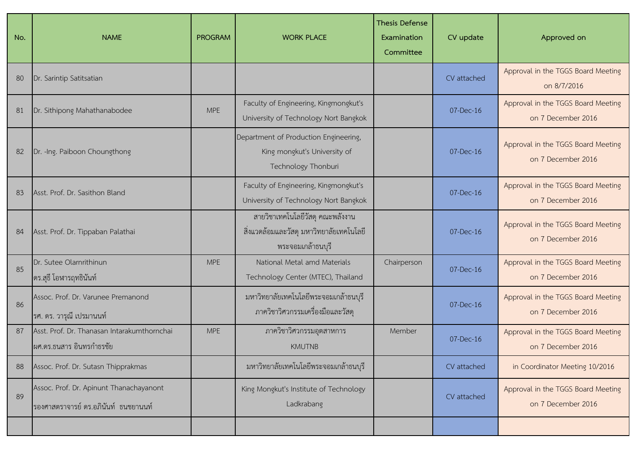| No. | <b>NAME</b>                                                                       | <b>PROGRAM</b> | <b>WORK PLACE</b>                                                                                  | <b>Thesis Defense</b><br>Examination<br>Committee | CV update   | Approved on                                              |
|-----|-----------------------------------------------------------------------------------|----------------|----------------------------------------------------------------------------------------------------|---------------------------------------------------|-------------|----------------------------------------------------------|
| 80  | Dr. Sarintip Satitsatian                                                          |                |                                                                                                    |                                                   | CV attached | Approval in the TGGS Board Meeting<br>on 8/7/2016        |
| 81  | Dr. Sithipong Mahathanabodee                                                      | <b>MPE</b>     | Faculty of Engineering, Kingmongkut's<br>University of Technology Nort Bangkok                     |                                                   | $07-Dec-16$ | Approval in the TGGS Board Meeting<br>on 7 December 2016 |
| 82  | Dr. - Ing. Paiboon Choungthong                                                    |                | Department of Production Engineering,<br>King mongkut's University of<br>Technology Thonburi       |                                                   | $07-Dec-16$ | Approval in the TGGS Board Meeting<br>on 7 December 2016 |
| 83  | Asst. Prof. Dr. Sasithon Bland                                                    |                | Faculty of Engineering, Kingmongkut's<br>University of Technology Nort Bangkok                     |                                                   | 07-Dec-16   | Approval in the TGGS Board Meeting<br>on 7 December 2016 |
| 84  | Asst. Prof. Dr. Tippaban Palathai                                                 |                | สายวิชาเทคโนโลยีวัสดุ คณะพลังงาน<br>้สิ่งแวดล้อมและวัสดุ มหาวิทยาลัยเทคโนโลยี<br>พระจอมเกล้าธนบุรี |                                                   | 07-Dec-16   | Approval in the TGGS Board Meeting<br>on 7 December 2016 |
| 85  | Dr. Sutee Olarnrithinun<br>ิดร.สุธี โอฬารฤทธินันท์                                | <b>MPE</b>     | National Metal amd Materials<br>Technology Center (MTEC), Thailand                                 | Chairperson                                       | 07-Dec-16   | Approval in the TGGS Board Meeting<br>on 7 December 2016 |
| 86  | Assoc. Prof. Dr. Varunee Premanond<br>รศ. ดร. วารุณี เปรมานนท์                    |                | มหาวิทยาลัยเทคโนโลยีพระจอมเกล้าธนบุรี<br>ภาควิชาวิศวกรรมเครื่องมือและวัสดุ                         |                                                   | 07-Dec-16   | Approval in the TGGS Board Meeting<br>on 7 December 2016 |
| 87  | Asst. Prof. Dr. Thanasan Intarakumthornchai<br> ผศ.ดร.ธนสาร อินทรกำธรชัย          | <b>MPE</b>     | ภาควิชาวิศวกรรมอุตสาหการ<br><b>KMUTNB</b>                                                          | Member                                            | 07-Dec-16   | Approval in the TGGS Board Meeting<br>on 7 December 2016 |
| 88  | Assoc. Prof. Dr. Sutasn Thipprakmas                                               |                | มหาวิทยาลัยเทคโนโลยีพระจอมเกล้าธนบุรี                                                              |                                                   | CV attached | in Coordinator Meeting 10/2016                           |
| 89  | Assoc. Prof. Dr. Apinunt Thanachayanont<br>ีรองศาสตราจารย์ ดร.อภินันท์  ธนชยานนท์ |                | King Mongkut's Institute of Technology<br>Ladkrabang                                               |                                                   | CV attached | Approval in the TGGS Board Meeting<br>on 7 December 2016 |
|     |                                                                                   |                |                                                                                                    |                                                   |             |                                                          |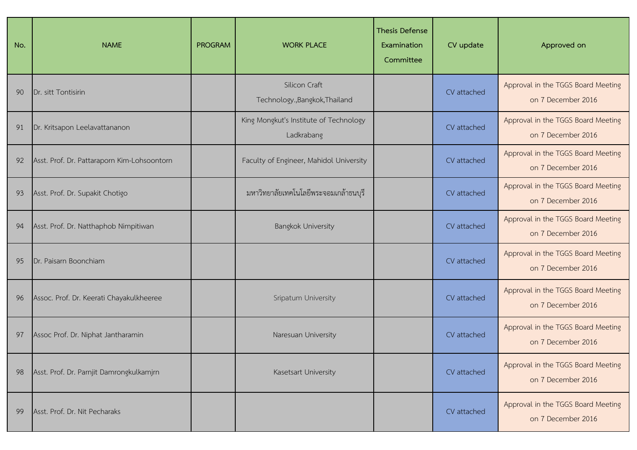| No. | <b>NAME</b>                                 | <b>PROGRAM</b> | <b>WORK PLACE</b>                                    | <b>Thesis Defense</b><br>Examination<br>Committee | CV update   | Approved on                                              |
|-----|---------------------------------------------|----------------|------------------------------------------------------|---------------------------------------------------|-------------|----------------------------------------------------------|
| 90  | Dr. sitt Tontisirin                         |                | Silicon Craft<br>Technology., Bangkok, Thailand      |                                                   | CV attached | Approval in the TGGS Board Meeting<br>on 7 December 2016 |
| 91  | Dr. Kritsapon Leelavattananon               |                | King Mongkut's Institute of Technology<br>Ladkrabang |                                                   | CV attached | Approval in the TGGS Board Meeting<br>on 7 December 2016 |
| 92  | Asst. Prof. Dr. Pattaraporn Kim-Lohsoontorn |                | Faculty of Engineer, Mahidol University              |                                                   | CV attached | Approval in the TGGS Board Meeting<br>on 7 December 2016 |
| 93  | Asst. Prof. Dr. Supakit Chotigo             |                | มหาวิทยาลัยเทคโนโลยีพระจอมเกล้าธนบุรี                |                                                   | CV attached | Approval in the TGGS Board Meeting<br>on 7 December 2016 |
| 94  | Asst. Prof. Dr. Natthaphob Nimpitiwan       |                | <b>Bangkok University</b>                            |                                                   | CV attached | Approval in the TGGS Board Meeting<br>on 7 December 2016 |
| 95  | Dr. Paisarn Boonchiam                       |                |                                                      |                                                   | CV attached | Approval in the TGGS Board Meeting<br>on 7 December 2016 |
| 96  | Assoc. Prof. Dr. Keerati Chayakulkheeree    |                | Sripatum University                                  |                                                   | CV attached | Approval in the TGGS Board Meeting<br>on 7 December 2016 |
| 97  | Assoc Prof. Dr. Niphat Jantharamin          |                | Naresuan University                                  |                                                   | CV attached | Approval in the TGGS Board Meeting<br>on 7 December 2016 |
| 98  | Asst. Prof. Dr. Parnjit Damrongkulkamjrn    |                | Kasetsart University                                 |                                                   | CV attached | Approval in the TGGS Board Meeting<br>on 7 December 2016 |
| 99  | Asst. Prof. Dr. Nit Pecharaks               |                |                                                      |                                                   | CV attached | Approval in the TGGS Board Meeting<br>on 7 December 2016 |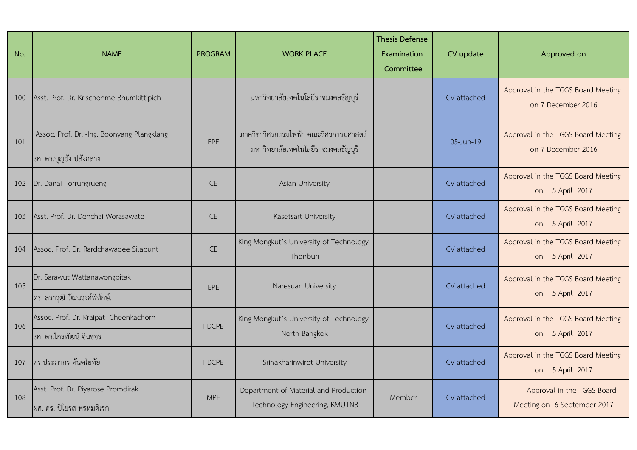| No. | <b>NAME</b>                                                            | <b>PROGRAM</b> | <b>WORK PLACE</b>                                                            | <b>Thesis Defense</b><br>Examination<br>Committee | CV update   | Approved on                                               |
|-----|------------------------------------------------------------------------|----------------|------------------------------------------------------------------------------|---------------------------------------------------|-------------|-----------------------------------------------------------|
| 100 | Asst. Prof. Dr. Krischonme Bhumkittipich                               |                | มหาวิทยาลัยเทคโนโลยีราชมงคลธัญบุรี                                           |                                                   | CV attached | Approval in the TGGS Board Meeting<br>on 7 December 2016  |
| 101 | Assoc. Prof. Dr. - Ing. Boonyang Plangklang<br>รศ. ดร.บุญยัง ปลั่งกลาง | <b>EPE</b>     | ภาควิชาวิศวกรรมไฟฟ้า คณะวิศวกรรมศาสตร์<br>มหาวิทยาลัยเทคโนโลยีราชมงคลธัญบุรี |                                                   | 05-Jun-19   | Approval in the TGGS Board Meeting<br>on 7 December 2016  |
| 102 | Dr. Danai Torrungrueng                                                 | <b>CE</b>      | Asian University                                                             |                                                   | CV attached | Approval in the TGGS Board Meeting<br>on 5 April 2017     |
| 103 | Asst. Prof. Dr. Denchai Worasawate                                     | <b>CE</b>      | Kasetsart University                                                         |                                                   | CV attached | Approval in the TGGS Board Meeting<br>on 5 April 2017     |
| 104 | Assoc. Prof. Dr. Rardchawadee Silapunt                                 | <b>CE</b>      | King Mongkut's University of Technology<br>Thonburi                          |                                                   | CV attached | Approval in the TGGS Board Meeting<br>on 5 April 2017     |
| 105 | Dr. Sarawut Wattanawongpitak<br>ดร. สราวุฒิ วัฒนวงค์พิทักษ์.           | FPF            | Naresuan University                                                          |                                                   | CV attached | Approval in the TGGS Board Meeting<br>on 5 April 2017     |
| 106 | Assoc. Prof. Dr. Kraipat Cheenkachorn<br>รศ. ดร.ไกรพัฒน์ จีนขจร        | I-DCPE         | King Mongkut's University of Technology<br>North Bangkok                     |                                                   | CV attached | Approval in the TGGS Board Meeting<br>on 5 April 2017     |
| 107 | ดร.ประภากร ต้นตโยทัย                                                   | <b>I-DCPE</b>  | Srinakharinwirot University                                                  |                                                   | CV attached | Approval in the TGGS Board Meeting<br>on 5 April 2017     |
| 108 | Asst. Prof. Dr. Piyarose Promdirak<br>ผศ. ดร. ปิโยรส พรหมดิเรก         | <b>MPE</b>     | Department of Material and Production<br>Technology Engineering, KMUTNB      | Member                                            | CV attached | Approval in the TGGS Board<br>Meeting on 6 September 2017 |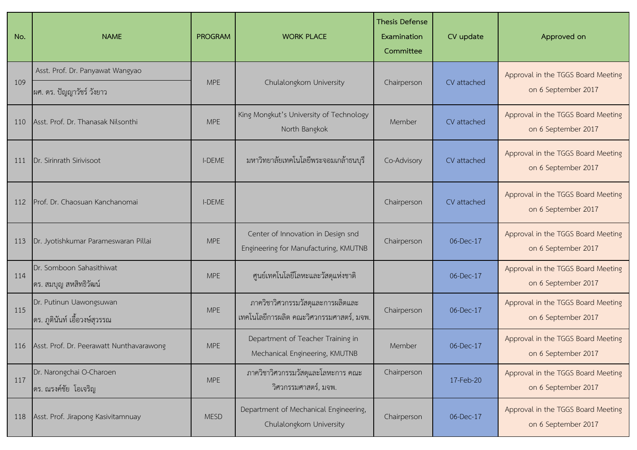| No. | <b>NAME</b>                                                   | <b>PROGRAM</b> | <b>WORK PLACE</b>                                                             | <b>Thesis Defense</b><br>Examination<br>Committee | CV update   | Approved on                                               |
|-----|---------------------------------------------------------------|----------------|-------------------------------------------------------------------------------|---------------------------------------------------|-------------|-----------------------------------------------------------|
| 109 | Asst. Prof. Dr. Panyawat Wangyao<br>ผศ. ดร. ปัญญาวัชร์ วังยาว | <b>MPE</b>     | Chulalongkorn University                                                      | Chairperson                                       | CV attached | Approval in the TGGS Board Meeting<br>on 6 September 2017 |
| 110 | Asst. Prof. Dr. Thanasak Nilsonthi                            | <b>MPE</b>     | King Mongkut's University of Technology<br>North Bangkok                      | Member                                            | CV attached | Approval in the TGGS Board Meeting<br>on 6 September 2017 |
| 111 | Dr. Sirinrath Sirivisoot                                      | <b>I-DEME</b>  | ้มหาวิทยาลัยเทคโนโลยีพระจอมเกล้าธนบุรี                                        | Co-Advisory                                       | CV attached | Approval in the TGGS Board Meeting<br>on 6 September 2017 |
| 112 | Prof. Dr. Chaosuan Kanchanomai                                | <b>I-DEME</b>  |                                                                               | Chairperson                                       | CV attached | Approval in the TGGS Board Meeting<br>on 6 September 2017 |
| 113 | Dr. Jyotishkumar Parameswaran Pillai                          | <b>MPE</b>     | Center of Innovation in Design snd<br>Engineering for Manufacturing, KMUTNB   | Chairperson                                       | 06-Dec-17   | Approval in the TGGS Board Meeting<br>on 6 September 2017 |
| 114 | Dr. Somboon Sahasithiwat<br>ดร. สมบุญ สหสิทธิวัฒน์            | <b>MPE</b>     | ศูนย์เทคโนโลยีโลหะและวัสดุแห่งชาติ                                            |                                                   | 06-Dec-17   | Approval in the TGGS Board Meeting<br>on 6 September 2017 |
| 115 | Dr. Putinun Uawongsuwan<br> ดร. ภูตินันท์ เอื้อวงษ์สุวรรณ     | <b>MPE</b>     | ภาควิชาวิศวกรรมวัสดุและการผลิตและ<br>เทคโนโลยีการผลิต คณะวิศวกรรมศาสตร์, มจพ. | Chairperson                                       | 06-Dec-17   | Approval in the TGGS Board Meeting<br>on 6 September 2017 |
| 116 | Asst. Prof. Dr. Peerawatt Nunthavarawong                      | <b>MPE</b>     | Department of Teacher Training in<br>Mechanical Engineering, KMUTNB           | Member                                            | 06-Dec-17   | Approval in the TGGS Board Meeting<br>on 6 September 2017 |
| 117 | Dr. Narongchai O-Charoen<br>ดร. ณรงค์ชัย โอเจริญ              | <b>MPE</b>     | ภาควิชาวิศวกรรมวัสดุและโลหะการ คณะ<br>วิศวกรรมศาสตร์, มจพ.                    | Chairperson                                       | 17-Feb-20   | Approval in the TGGS Board Meeting<br>on 6 September 2017 |
| 118 | Asst. Prof. Jirapong Kasivitamnuay                            | <b>MESD</b>    | Department of Mechanical Engineering,<br>Chulalongkorn University             | Chairperson                                       | 06-Dec-17   | Approval in the TGGS Board Meeting<br>on 6 September 2017 |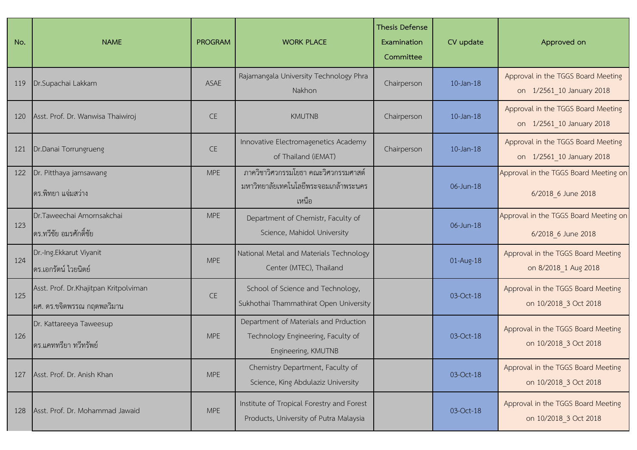| No. | <b>NAME</b>                                                         | <b>PROGRAM</b> | <b>WORK PLACE</b>                                                                                  | <b>Thesis Defense</b><br>Examination<br>Committee | CV update       | Approved on                                                     |
|-----|---------------------------------------------------------------------|----------------|----------------------------------------------------------------------------------------------------|---------------------------------------------------|-----------------|-----------------------------------------------------------------|
| 119 | Dr.Supachai Lakkam                                                  | ASAE           | Rajamangala University Technology Phra<br>Nakhon                                                   | Chairperson                                       | $10$ -Jan-18    | Approval in the TGGS Board Meeting<br>on 1/2561 10 January 2018 |
| 120 | Asst. Prof. Dr. Wanwisa Thaiwiroj                                   | <b>CE</b>      | <b>KMUTNB</b>                                                                                      | Chairperson                                       | $10$ -Jan- $18$ | Approval in the TGGS Board Meeting<br>on 1/2561 10 January 2018 |
| 121 | Dr.Danai Torrungrueng                                               | <b>CE</b>      | Innovative Electromagenetics Academy<br>of Thailand (iEMAT)                                        | Chairperson                                       | $10$ -Jan- $18$ | Approval in the TGGS Board Meeting<br>on 1/2561_10 January 2018 |
| 122 | Dr. Pitthaya jamsawang<br>ดร.พิทยา แจ่มสว่าง                        | <b>MPE</b>     | ภาควิชาวิศวกรรมโยธา คณะวิศวกรรมศาสต์<br>มหาวิทยาลัยเทคโนโลยีพระจอมเกล้าพระนคร<br>เหนือ             |                                                   | 06-Jun-18       | Approval in the TGGS Board Meeting on<br>6/2018 6 June 2018     |
| 123 | Dr.Taweechai Amornsakchai<br>ดร.ทวีชัย อมรศักดิ์ชัย                 | <b>MPE</b>     | Department of Chemistr, Faculty of<br>Science, Mahidol University                                  |                                                   | 06-Jun-18       | Approval in the TGGS Board Meeting on<br>6/2018 6 June 2018     |
| 124 | Dr.-Ing.Ekkarut Viyanit<br>ดร.เอกรัตน์ ไวยนิตย์                     | <b>MPE</b>     | National Metal and Materials Technology<br>Center (MTEC), Thailand                                 |                                                   | 01-Aug-18       | Approval in the TGGS Board Meeting<br>on 8/2018 1 Aug 2018      |
| 125 | Asst. Prof. Dr.Khajitpan Kritpolviman<br>ผศ. ดร.ขจิตพรรณ กฤตพลวิมาน | <b>CE</b>      | School of Science and Technology,<br>Sukhothai Thammathirat Open University                        |                                                   | 03-Oct-18       | Approval in the TGGS Board Meeting<br>on 10/2018 3 Oct 2018     |
| 126 | Dr. Kattareeya Taweesup<br>ดร.แคททรียา ทวีทรัพย์                    | <b>MPE</b>     | Department of Materials and Prduction<br>Technology Engineering, Faculty of<br>Engineering, KMUTNB |                                                   | 03-Oct-18       | Approval in the TGGS Board Meeting<br>on 10/2018 3 Oct 2018     |
| 127 | Asst. Prof. Dr. Anish Khan                                          | <b>MPE</b>     | Chemistry Department, Faculty of<br>Science, King Abdulaziz University                             |                                                   | 03-Oct-18       | Approval in the TGGS Board Meeting<br>on 10/2018 3 Oct 2018     |
| 128 | Asst. Prof. Dr. Mohammad Jawaid                                     | <b>MPE</b>     | Institute of Tropical Forestry and Forest<br>Products, University of Putra Malaysia                |                                                   | 03-Oct-18       | Approval in the TGGS Board Meeting<br>on 10/2018 3 Oct 2018     |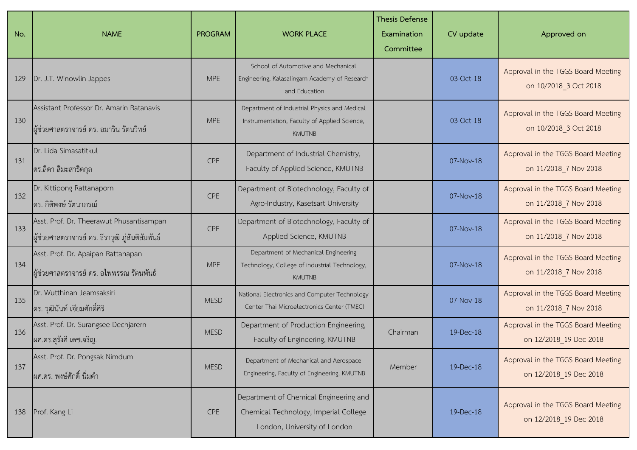| No. | <b>NAME</b>                                                                                    | <b>PROGRAM</b> | <b>WORK PLACE</b>                                                                                               | <b>Thesis Defense</b><br>Examination<br>Committee | CV update | Approved on                                                  |
|-----|------------------------------------------------------------------------------------------------|----------------|-----------------------------------------------------------------------------------------------------------------|---------------------------------------------------|-----------|--------------------------------------------------------------|
| 129 | Dr. J.T. Winowlin Jappes                                                                       | <b>MPE</b>     | School of Automotive and Mechanical<br>Engineering, Kalasalingam Academy of Research<br>and Education           |                                                   | 03-Oct-18 | Approval in the TGGS Board Meeting<br>on 10/2018 3 Oct 2018  |
| 130 | Assistant Professor Dr. Amarin Ratanavis<br>ผู้ช่วยศาสตราจารย์ ดร. อมาริน รัตนวิทย์            | <b>MPE</b>     | Department of Industrial Physics and Medical<br>Instrumentation, Faculty of Applied Science,<br><b>KMUTNB</b>   |                                                   | 03-Oct-18 | Approval in the TGGS Board Meeting<br>on 10/2018 3 Oct 2018  |
| 131 | Dr. Lida Simasatitkul<br>ี ดร.ลิดา สิมะสาธิตกุล                                                | CPE            | Department of Industrial Chemistry,<br>Faculty of Applied Science, KMUTNB                                       |                                                   | 07-Nov-18 | Approval in the TGGS Board Meeting<br>on 11/2018 7 Nov 2018  |
| 132 | Dr. Kittipong Rattanaporn<br>ี่ ดร. กิติพงษ์ รัตนาภรณ์                                         | <b>CPE</b>     | Department of Biotechnology, Faculty of<br>Agro-Industry, Kasetsart University                                  |                                                   | 07-Nov-18 | Approval in the TGGS Board Meeting<br>on 11/2018 7 Nov 2018  |
| 133 | Asst. Prof. Dr. Theerawut Phusantisampan<br>ี่ผู้ช่วยศาสตราจารย์ ดร. ธีราวุฒิ ภู่สันติสัมพันธ์ | <b>CPE</b>     | Department of Biotechnology, Faculty of<br>Applied Science, KMUTNB                                              |                                                   | 07-Nov-18 | Approval in the TGGS Board Meeting<br>on 11/2018 7 Nov 2018  |
| 134 | Asst. Prof. Dr. Apaipan Rattanapan<br>ผู้ช่วยศาสตราจารย์ ดร. อไพพรรณ รัตนพันธ์                 | <b>MPE</b>     | Department of Mechanical Engineering<br>Technology, College of industrial Technology,<br><b>KMUTNB</b>          |                                                   | 07-Nov-18 | Approval in the TGGS Board Meeting<br>on 11/2018 7 Nov 2018  |
| 135 | Dr. Wutthinan Jeamsaksiri<br>ดร. วุฒินันท์ เจียมศักดิ์ศิริ                                     | <b>MESD</b>    | National Electronics and Computer Technology<br>Center Thai Microelectronics Center (TMEC)                      |                                                   | 07-Nov-18 | Approval in the TGGS Board Meeting<br>on 11/2018 7 Nov 2018  |
| 136 | Asst. Prof. Dr. Surangsee Dechjarern<br>ผศ.ดร.สุรังศี เดชเจริญ.                                | <b>MESD</b>    | Department of Production Engineering,<br>Faculty of Engineering, KMUTNB                                         | Chairman                                          | 19-Dec-18 | Approval in the TGGS Board Meeting<br>on 12/2018 19 Dec 2018 |
| 137 | Asst. Prof. Dr. Pongsak Nimdum<br>ผศ.ดร. พงษ์ศักดิ์ นิ่มดำ                                     | <b>MESD</b>    | Department of Mechanical and Aerospace<br>Engineering, Faculty of Engineering, KMUTNB                           | Member                                            | 19-Dec-18 | Approval in the TGGS Board Meeting<br>on 12/2018 19 Dec 2018 |
| 138 | Prof. Kang Li                                                                                  | CPE            | Department of Chemical Engineering and<br>Chemical Technology, Imperial College<br>London, University of London |                                                   | 19-Dec-18 | Approval in the TGGS Board Meeting<br>on 12/2018 19 Dec 2018 |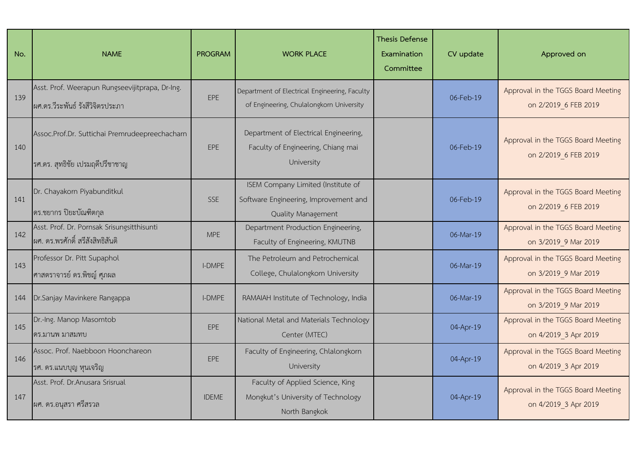| No. | <b>NAME</b>                                                                         | <b>PROGRAM</b> | <b>WORK PLACE</b>                                                                                 | <b>Thesis Defense</b><br>Examination<br>Committee | CV update | Approved on                                                |
|-----|-------------------------------------------------------------------------------------|----------------|---------------------------------------------------------------------------------------------------|---------------------------------------------------|-----------|------------------------------------------------------------|
| 139 | Asst. Prof. Weerapun Rungseevijitprapa, Dr-Ing.<br>ผศ.ดร.วีระพันธ์ รังสีวิจิตรประภา | EPE            | Department of Electrical Engineering, Faculty<br>of Engineering, Chulalongkorn University         |                                                   | 06-Feb-19 | Approval in the TGGS Board Meeting<br>on 2/2019 6 FEB 2019 |
| 140 | Assoc.Prof.Dr. Suttichai Premrudeepreechacharn<br>รศ.ดร. สุทธิชัย เปรมฤดีปรีชาชาญ   | EPE            | Department of Electrical Engineering,<br>Faculty of Engineering, Chiang mai<br>University         |                                                   | 06-Feb-19 | Approval in the TGGS Board Meeting<br>on 2/2019 6 FEB 2019 |
| 141 | Dr. Chayakorn Piyabunditkul<br>ดร.ชยากร ปิยะบัณฑิตกุล                               | <b>SSE</b>     | ISEM Company Limited (Institute of<br>Software Engineering, Improvement and<br>Quality Management |                                                   | 06-Feb-19 | Approval in the TGGS Board Meeting<br>on 2/2019 6 FEB 2019 |
| 142 | Asst. Prof. Dr. Pornsak Srisungsitthisunti<br>ผศ. ดร.พรศักดิ์ สรีสังสิทธิสันติ      | <b>MPE</b>     | Department Production Engineering,<br>Faculty of Engineering, KMUTNB                              |                                                   | 06-Mar-19 | Approval in the TGGS Board Meeting<br>on 3/2019 9 Mar 2019 |
| 143 | Professor Dr. Pitt Supaphol<br>ศาสตราจารย์ ดร.พิชญ์ ศุภผล                           | <b>I-DMPE</b>  | The Petroleum and Petrochemical<br>College, Chulalongkorn University                              |                                                   | 06-Mar-19 | Approval in the TGGS Board Meeting<br>on 3/2019 9 Mar 2019 |
| 144 | Dr.Sanjay Mavinkere Rangappa                                                        | <b>I-DMPE</b>  | RAMAIAH Institute of Technology, India                                                            |                                                   | 06-Mar-19 | Approval in the TGGS Board Meeting<br>on 3/2019 9 Mar 2019 |
| 145 | Dr.-Ing. Manop Masomtob<br>ดร.มานพ มาสมทบ                                           | EPE            | National Metal and Materials Technology<br>Center (MTEC)                                          |                                                   | 04-Apr-19 | Approval in the TGGS Board Meeting<br>on 4/2019 3 Apr 2019 |
| 146 | Assoc. Prof. Naebboon Hoonchareon<br>ุรศ. ดร.แนบบุญ หุนเจริญ                        | EPE            | Faculty of Engineering, Chlalongkorn<br>University                                                |                                                   | 04-Apr-19 | Approval in the TGGS Board Meeting<br>on 4/2019 3 Apr 2019 |
| 147 | Asst. Prof. Dr.Anusara Srisrual<br>ผศ. ดร.อนุสรา ศรีสรวล                            | <b>IDEME</b>   | Faculty of Applied Science, King<br>Mongkut's University of Technology<br>North Bangkok           |                                                   | 04-Apr-19 | Approval in the TGGS Board Meeting<br>on 4/2019 3 Apr 2019 |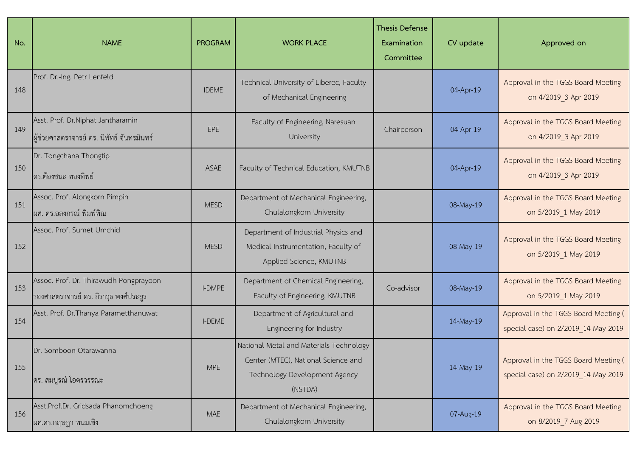| No. | <b>NAME</b>                                                                      | <b>PROGRAM</b> | <b>WORK PLACE</b>                                                                                                          | <b>Thesis Defense</b><br>Examination<br>Committee | CV update | Approved on                                                                 |
|-----|----------------------------------------------------------------------------------|----------------|----------------------------------------------------------------------------------------------------------------------------|---------------------------------------------------|-----------|-----------------------------------------------------------------------------|
| 148 | Prof. Dr.-Ing. Petr Lenfeld                                                      | <b>IDEME</b>   | Technical University of Liberec, Faculty<br>of Mechanical Engineering                                                      |                                                   | 04-Apr-19 | Approval in the TGGS Board Meeting<br>on 4/2019 3 Apr 2019                  |
| 149 | Asst. Prof. Dr. Niphat Jantharamin<br>ผู้ช่วยศาสตราจารย์ ดร. นิพัทธ์ จันทรมินทร์ | EPE            | Faculty of Engineering, Naresuan<br>University                                                                             | Chairperson                                       | 04-Apr-19 | Approval in the TGGS Board Meeting<br>on 4/2019 3 Apr 2019                  |
| 150 | Dr. Tongchana Thongtip<br>ดร.ต้องชนะ ทองทิพย์                                    | ASAE           | Faculty of Technical Education, KMUTNB                                                                                     |                                                   | 04-Apr-19 | Approval in the TGGS Board Meeting<br>on 4/2019 3 Apr 2019                  |
| 151 | Assoc. Prof. Alongkorn Pimpin<br> ผศ. ดร.อลงกรณ์ พิมพ์พิณ                        | <b>MESD</b>    | Department of Mechanical Engineering,<br>Chulalongkorn University                                                          |                                                   | 08-May-19 | Approval in the TGGS Board Meeting<br>on 5/2019_1 May 2019                  |
| 152 | Assoc. Prof. Sumet Umchid                                                        | <b>MESD</b>    | Department of Industrial Physics and<br>Medical Instrumentation, Faculty of<br>Applied Science, KMUTNB                     |                                                   | 08-May-19 | Approval in the TGGS Board Meeting<br>on 5/2019 1 May 2019                  |
| 153 | Assoc. Prof. Dr. Thirawudh Pongprayoon<br>รองศาสตราจารย์ ดร. ถิราวุธ พงศ์ประยูร  | <b>I-DMPE</b>  | Department of Chemical Engineering,<br>Faculty of Engineering, KMUTNB                                                      | Co-advisor                                        | 08-May-19 | Approval in the TGGS Board Meeting<br>on 5/2019 1 May 2019                  |
| 154 | Asst. Prof. Dr. Thanya Parametthanuwat                                           | <b>I-DEME</b>  | Department of Agricultural and<br>Engineering for Industry                                                                 |                                                   | 14-May-19 | Approval in the TGGS Board Meeting (<br>special case) on 2/2019 14 May 2019 |
| 155 | Dr. Somboon Otarawanna<br>ดร. สมบูรณ์ โอตรวรรณะ                                  | <b>MPE</b>     | National Metal and Materials Technology<br>Center (MTEC), National Science and<br>Technology Development Agency<br>(NSTDA) |                                                   | 14-May-19 | Approval in the TGGS Board Meeting (<br>special case) on 2/2019 14 May 2019 |
| 156 | Asst.Prof.Dr. Gridsada Phanomchoeng<br>ผศ.ดร.กฤษฎา พนมเชิง                       | <b>MAE</b>     | Department of Mechanical Engineering,<br>Chulalongkorn University                                                          |                                                   | 07-Aug-19 | Approval in the TGGS Board Meeting<br>on 8/2019 7 Aug 2019                  |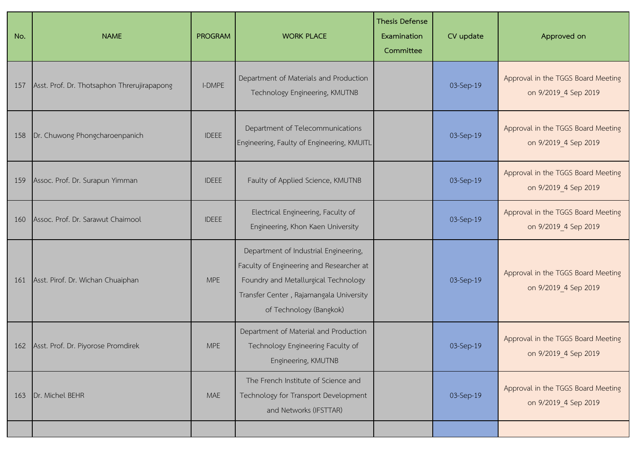| No. | <b>NAME</b>                                 | <b>PROGRAM</b> | <b>WORK PLACE</b>                                                                                                                                                                               | <b>Thesis Defense</b><br>Examination<br>Committee | CV update | Approved on                                                |
|-----|---------------------------------------------|----------------|-------------------------------------------------------------------------------------------------------------------------------------------------------------------------------------------------|---------------------------------------------------|-----------|------------------------------------------------------------|
| 157 | Asst. Prof. Dr. Thotsaphon Threrujirapapong | <b>I-DMPE</b>  | Department of Materials and Production<br>Technology Engineering, KMUTNB                                                                                                                        |                                                   | 03-Sep-19 | Approval in the TGGS Board Meeting<br>on 9/2019_4 Sep 2019 |
| 158 | Dr. Chuwong Phongcharoenpanich              | <b>IDEEE</b>   | Department of Telecommunications<br>Engineering, Faulty of Engineering, KMUITL                                                                                                                  |                                                   | 03-Sep-19 | Approval in the TGGS Board Meeting<br>on 9/2019 4 Sep 2019 |
| 159 | Assoc. Prof. Dr. Surapun Yimman             | <b>IDEEE</b>   | Faulty of Applied Science, KMUTNB                                                                                                                                                               |                                                   | 03-Sep-19 | Approval in the TGGS Board Meeting<br>on 9/2019 4 Sep 2019 |
| 160 | Assoc. Prof. Dr. Sarawut Chaimool           | <b>IDEEE</b>   | Electrical Engineering, Faculty of<br>Engineering, Khon Kaen University                                                                                                                         |                                                   | 03-Sep-19 | Approval in the TGGS Board Meeting<br>on 9/2019 4 Sep 2019 |
| 161 | Asst. Pirof. Dr. Wichan Chuaiphan           | <b>MPE</b>     | Department of Industrial Engineering,<br>Faculty of Engineering and Researcher at<br>Foundry and Metallurgical Technology<br>Transfer Center, Rajamangala University<br>of Technology (Bangkok) |                                                   | 03-Sep-19 | Approval in the TGGS Board Meeting<br>on 9/2019_4 Sep 2019 |
|     | 162 Asst. Prof. Dr. Piyorose Promdirek      | <b>MPE</b>     | Department of Material and Production<br>Technology Engineering Faculty of<br>Engineering, KMUTNB                                                                                               |                                                   | 03-Sep-19 | Approval in the TGGS Board Meeting<br>on 9/2019 4 Sep 2019 |
| 163 | Dr. Michel BEHR                             | <b>MAE</b>     | The French Institute of Science and<br>Technology for Transport Development<br>and Networks (IFSTTAR)                                                                                           |                                                   | 03-Sep-19 | Approval in the TGGS Board Meeting<br>on 9/2019 4 Sep 2019 |
|     |                                             |                |                                                                                                                                                                                                 |                                                   |           |                                                            |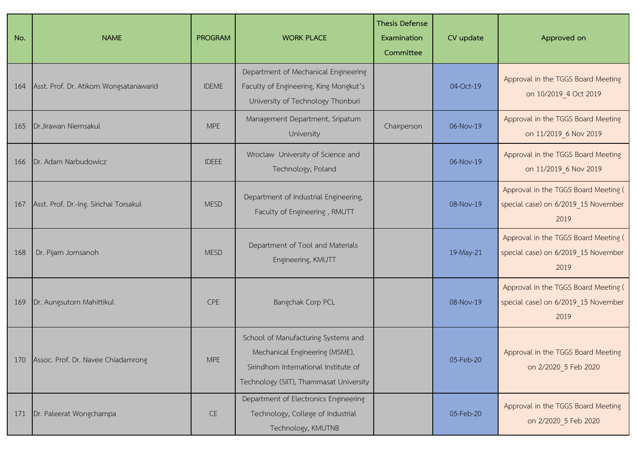| No. | <b>NAME</b>                             | <b>PROGRAM</b> | <b>WORK PLACE</b>                                                                                                                                         | <b>Thesis Defense</b><br>Examination<br>Committee | CV update | Approved on                                                                         |
|-----|-----------------------------------------|----------------|-----------------------------------------------------------------------------------------------------------------------------------------------------------|---------------------------------------------------|-----------|-------------------------------------------------------------------------------------|
| 164 | Asst. Prof. Dr. Atikorn Wongsatanawarid | <b>IDEME</b>   | Department of Mechanical Engineering<br>Faculty of Engineering, King Mongkut's<br>University of Technology Thonburi                                       |                                                   | 04-Oct-19 | Approval in the TGGS Board Meeting<br>on 10/2019_4 Oct 2019                         |
| 165 | Dr.Jirawan Niemsakul                    | <b>MPE</b>     | Management Department, Sripatum<br>University                                                                                                             | Chairperson                                       | 06-Nov-19 | Approval in the TGGS Board Meeting<br>on 11/2019 6 Nov 2019                         |
| 166 | Dr. Adam Narbudowicz                    | <b>IDEEE</b>   | Wroclaw University of Science and<br>Technology, Poland                                                                                                   |                                                   | 06-Nov-19 | Approval in the TGGS Board Meeting<br>on 11/2019 6 Nov 2019                         |
| 167 | Asst. Prof. Dr.-Ing. Sirichai Torsakul  | <b>MESD</b>    | Department of Industrial Engineering,<br>Faculty of Engineering, RMUTT                                                                                    |                                                   | 08-Nov-19 | Approval in the TGGS Board Meeting (<br>special case) on 6/2019_15 November<br>2019 |
| 168 | Dr. Pijarn Jornsanoh                    | <b>MESD</b>    | Department of Tool and Materials<br>Engineering, KMUTT                                                                                                    |                                                   | 19-May-21 | Approval in the TGGS Board Meeting (<br>special case) on 6/2019_15 November<br>2019 |
| 169 | Dr. Aungsutorn Mahittikul               | CPE            | Bangchak Corp PCL                                                                                                                                         |                                                   | 08-Nov-19 | Approval in the TGGS Board Meeting (<br>special case) on 6/2019_15 November<br>2019 |
| 170 | Assoc. Prof. Dr. Navee Chiadamrong      | <b>MPE</b>     | School of Manufacturing Systems and<br>Mechanical Engineering (MSME),<br>Sirindhorn International Institute of<br>Technology (SIIT), Thammasat University |                                                   | 05-Feb-20 | Approval in the TGGS Board Meeting<br>on 2/2020 5 Feb 2020                          |
| 171 | Dr. Paleerat Wongchampa                 | CE             | Department of Electronics Engineering<br>Technology, College of Industrial<br>Technology, KMUTNB                                                          |                                                   | 05-Feb-20 | Approval in the TGGS Board Meeting<br>on 2/2020 5 Feb 2020                          |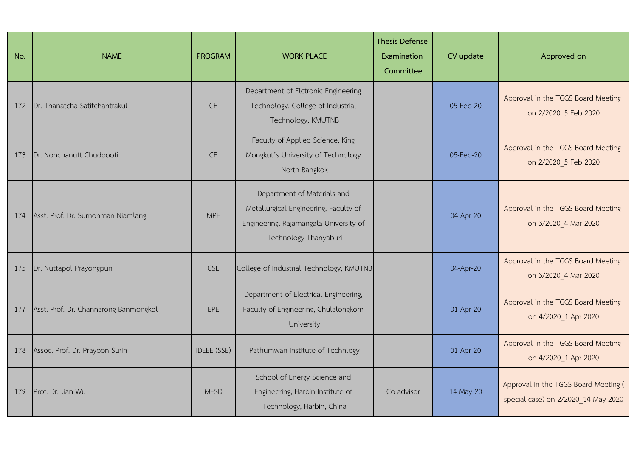| No. | <b>NAME</b>                           | <b>PROGRAM</b>     | <b>WORK PLACE</b>                                                                                                                       | <b>Thesis Defense</b><br>Examination<br>Committee | CV update   | Approved on                                                                 |
|-----|---------------------------------------|--------------------|-----------------------------------------------------------------------------------------------------------------------------------------|---------------------------------------------------|-------------|-----------------------------------------------------------------------------|
| 172 | Dr. Thanatcha Satitchantrakul         | <b>CE</b>          | Department of Elctronic Engineering<br>Technology, College of Industrial<br>Technology, KMUTNB                                          |                                                   | 05-Feb-20   | Approval in the TGGS Board Meeting<br>on 2/2020 5 Feb 2020                  |
| 173 | Dr. Nonchanutt Chudpooti              | <b>CE</b>          | Faculty of Applied Science, King<br>Mongkut's University of Technology<br>North Bangkok                                                 |                                                   | $05-Feb-20$ | Approval in the TGGS Board Meeting<br>on 2/2020 5 Feb 2020                  |
| 174 | Asst. Prof. Dr. Sumonman Niamlang     | <b>MPE</b>         | Department of Materials and<br>Metallurgical Engineering, Faculty of<br>Engineering, Rajamangala University of<br>Technology Thanyaburi |                                                   | 04-Apr-20   | Approval in the TGGS Board Meeting<br>on 3/2020 4 Mar 2020                  |
| 175 | Dr. Nuttapol Prayongpun               | <b>CSE</b>         | College of Industrial Technology, KMUTNB                                                                                                |                                                   | 04-Apr-20   | Approval in the TGGS Board Meeting<br>on 3/2020 4 Mar 2020                  |
| 177 | Asst. Prof. Dr. Channarong Banmongkol | EPE                | Department of Electrical Engineering,<br>Faculty of Engineering, Chulalongkorn<br>University                                            |                                                   | 01-Apr-20   | Approval in the TGGS Board Meeting<br>on 4/2020 1 Apr 2020                  |
| 178 | Assoc. Prof. Dr. Prayoon Surin        | <b>IDEEE (SSE)</b> | Pathumwan Institute of Technlogy                                                                                                        |                                                   | 01-Apr-20   | Approval in the TGGS Board Meeting<br>on 4/2020 1 Apr 2020                  |
| 179 | Prof. Dr. Jian Wu                     | <b>MESD</b>        | School of Energy Science and<br>Engineering, Harbin Institute of<br>Technology, Harbin, China                                           | Co-advisor                                        | 14-May-20   | Approval in the TGGS Board Meeting (<br>special case) on 2/2020 14 May 2020 |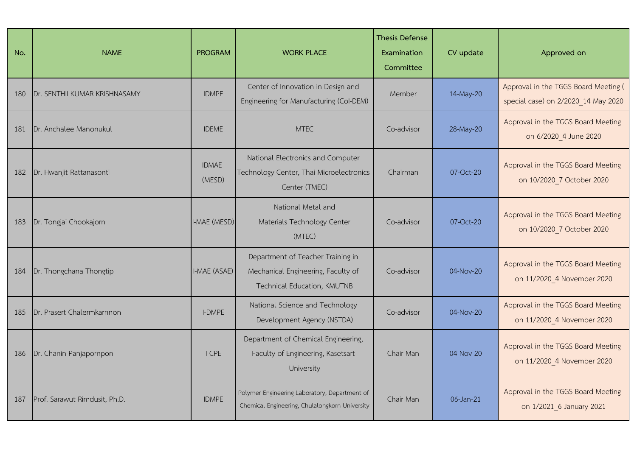| No. | <b>NAME</b>                   | <b>PROGRAM</b>         | <b>WORK PLACE</b>                                                                                      | <b>Thesis Defense</b><br>Examination<br>Committee | CV update     | Approved on                                                                 |
|-----|-------------------------------|------------------------|--------------------------------------------------------------------------------------------------------|---------------------------------------------------|---------------|-----------------------------------------------------------------------------|
| 180 | Dr. SENTHILKUMAR KRISHNASAMY  | <b>IDMPE</b>           | Center of Innovation in Design and<br>Engineering for Manufacturing (Col-DEM)                          | Member                                            | 14-May-20     | Approval in the TGGS Board Meeting (<br>special case) on 2/2020_14 May 2020 |
| 181 | Dr. Anchalee Manonukul        | <b>IDEME</b>           | <b>MTEC</b>                                                                                            | Co-advisor                                        | 28-May-20     | Approval in the TGGS Board Meeting<br>on 6/2020 4 June 2020                 |
| 182 | Dr. Hwanjit Rattanasonti      | <b>IDMAE</b><br>(MESD) | National Electronics and Computer<br>Technology Center, Thai Microelectronics<br>Center (TMEC)         | Chairman                                          | 07-Oct-20     | Approval in the TGGS Board Meeting<br>on 10/2020 7 October 2020             |
| 183 | Dr. Tongjai Chookajorn        | I-MAE (MESD)           | National Metal and<br>Materials Technology Center<br>(MTEC)                                            | Co-advisor                                        | 07-Oct-20     | Approval in the TGGS Board Meeting<br>on 10/2020 7 October 2020             |
| 184 | Dr. Thongchana Thongtip       | I-MAE (ASAE)           | Department of Teacher Training in<br>Mechanical Engineering, Faculty of<br>Technical Education, KMUTNB | Co-advisor                                        | 04-Nov-20     | Approval in the TGGS Board Meeting<br>on 11/2020 4 November 2020            |
| 185 | Dr. Prasert Chalermkarnnon    | <b>I-DMPE</b>          | National Science and Technology<br>Development Agency (NSTDA)                                          | Co-advisor                                        | 04-Nov-20     | Approval in the TGGS Board Meeting<br>on 11/2020 4 November 2020            |
| 186 | Dr. Chanin Panjapornpon       | $L$ CPE                | Department of Chemical Engineering,<br>Faculty of Engineering, Kasetsart<br>University                 | Chair Man                                         | $04 - Nov-20$ | Approval in the TGGS Board Meeting<br>on 11/2020_4 November 2020            |
| 187 | Prof. Sarawut Rimdusit, Ph.D. | <b>IDMPE</b>           | Polymer Engineering Laboratory, Department of<br>Chemical Engineering, Chulalongkorn University        | Chair Man                                         | 06-Jan-21     | Approval in the TGGS Board Meeting<br>on 1/2021 6 January 2021              |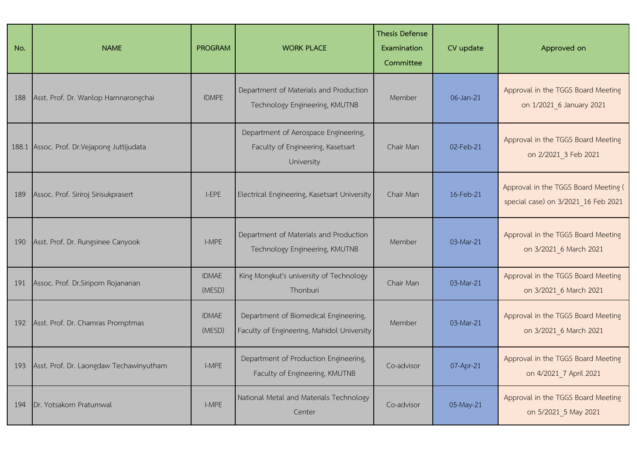| No. | <b>NAME</b>                                 | <b>PROGRAM</b>         | <b>WORK PLACE</b>                                                                       | <b>Thesis Defense</b><br>Examination<br>Committee | CV update | Approved on                                                                 |
|-----|---------------------------------------------|------------------------|-----------------------------------------------------------------------------------------|---------------------------------------------------|-----------|-----------------------------------------------------------------------------|
| 188 | Asst. Prof. Dr. Wanlop Harnnarongchai       | <b>IDMPE</b>           | Department of Materials and Production<br>Technology Engineering, KMUTNB                | Member                                            | 06-Jan-21 | Approval in the TGGS Board Meeting<br>on 1/2021 6 January 2021              |
|     | 188.1 Assoc. Prof. Dr. Vejapong Juttijudata |                        | Department of Aerospace Engineering,<br>Faculty of Engineering, Kasetsart<br>University | Chair Man                                         | 02-Feb-21 | Approval in the TGGS Board Meeting<br>on 2/2021_3 Feb 2021                  |
| 189 | Assoc. Prof. Siriroj Sirisukprasert         | I-EPE                  | Electrical Engineering, Kasetsart University                                            | Chair Man                                         | 16-Feb-21 | Approval in the TGGS Board Meeting (<br>special case) on 3/2021 16 Feb 2021 |
| 190 | Asst. Prof. Dr. Rungsinee Canyook           | I-MPE                  | Department of Materials and Production<br>Technology Engineering, KMUTNB                | Member                                            | 03-Mar-21 | Approval in the TGGS Board Meeting<br>on 3/2021 6 March 2021                |
| 191 | Assoc. Prof. Dr. Siriporn Rojananan         | <b>IDMAE</b><br>(MESD) | King Mongkut's university of Technology<br>Thonburi                                     | Chair Man                                         | 03-Mar-21 | Approval in the TGGS Board Meeting<br>on 3/2021 6 March 2021                |
| 192 | Asst. Prof. Dr. Chamras Promptmas           | <b>IDMAE</b><br>(MESD) | Department of Biomedical Engineering,<br>Faculty of Engineering, Mahidol University     | Member                                            | 03-Mar-21 | Approval in the TGGS Board Meeting<br>on 3/2021_6 March 2021                |
| 193 | Asst. Prof. Dr. Laongdaw Techawinyutham     | I-MPE                  | Department of Production Engineering,<br>Faculty of Engineering, KMUTNB                 | Co-advisor                                        | 07-Apr-21 | Approval in the TGGS Board Meeting<br>on 4/2021_7 April 2021                |
| 194 | Dr. Yotsakorn Pratumwal                     | I-MPE                  | National Metal and Materials Technology<br>Center                                       | Co-advisor                                        | 05-May-21 | Approval in the TGGS Board Meeting<br>on 5/2021 5 May 2021                  |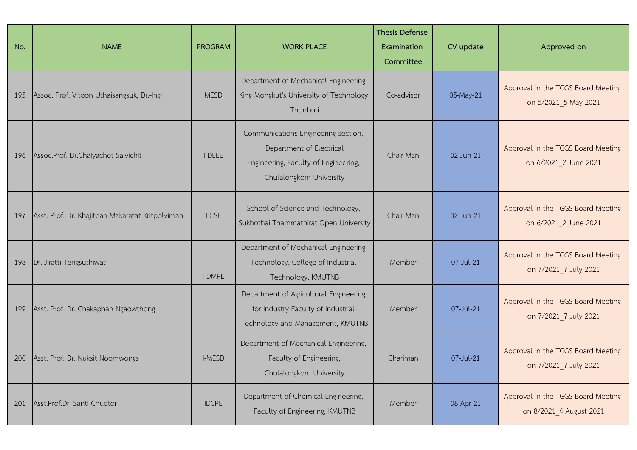| No. | <b>NAME</b>                                      | <b>PROGRAM</b> | <b>WORK PLACE</b>                                                                                                                   | <b>Thesis Defense</b><br>Examination<br>Committee | CV update | Approved on                                                   |
|-----|--------------------------------------------------|----------------|-------------------------------------------------------------------------------------------------------------------------------------|---------------------------------------------------|-----------|---------------------------------------------------------------|
| 195 | Assoc. Prof. Vitoon Uthaisangsuk, Dr.-Ing        | <b>MESD</b>    | Department of Mechanical Engineering<br>King Mongkut's University of Technology<br>Thonburi                                         | Co-advisor                                        | 05-May-21 | Approval in the TGGS Board Meeting<br>on 5/2021 5 May 2021    |
| 196 | Assoc.Prof. Dr.Chaiyachet Saivichit              | I-DEEE         | Communications Engineering section,<br>Department of Electrical<br>Engineering, Faculty of Engineering,<br>Chulalongkorn University | Chair Man                                         | 02-Jun-21 | Approval in the TGGS Board Meeting<br>on 6/2021 2 June 2021   |
| 197 | Asst. Prof. Dr. Khajitpan Makaratat Kritpolviman | I-CSE          | School of Science and Technology,<br>Sukhothai Thammathirat Open University                                                         | Chair Man                                         | 02-Jun-21 | Approval in the TGGS Board Meeting<br>on 6/2021 2 June 2021   |
| 198 | Dr. Jiratti Tengsuthiwat                         | <b>I-DMPE</b>  | Department of Mechanical Engineering<br>Technology, College of Industrial<br>Technology, KMUTNB                                     | Member                                            | 07-Jul-21 | Approval in the TGGS Board Meeting<br>on 7/2021_7 July 2021   |
| 199 | Asst. Prof. Dr. Chakaphan Ngaowthong             |                | Department of Agricultural Engineering<br>for Industry Faculty of Industrial<br>Technology and Management, KMUTNB                   | Member                                            | 07-Jul-21 | Approval in the TGGS Board Meeting<br>on 7/2021 7 July 2021   |
| 200 | Asst. Prof. Dr. Nuksit Noomwongs                 | I-MESD         | Department of Mechanical Engineering,<br>Faculty of Engineering,<br>Chulalongkorn University                                        | Chariman                                          | 07-Jul-21 | Approval in the TGGS Board Meeting<br>on 7/2021_7 July 2021   |
| 201 | Asst.Prof.Dr. Santi Chuetor                      | <b>IDCPE</b>   | Department of Chemical Engineering,<br>Faculty of Engineering, KMUTNB                                                               | Member                                            | 08-Apr-21 | Approval in the TGGS Board Meeting<br>on 8/2021_4 August 2021 |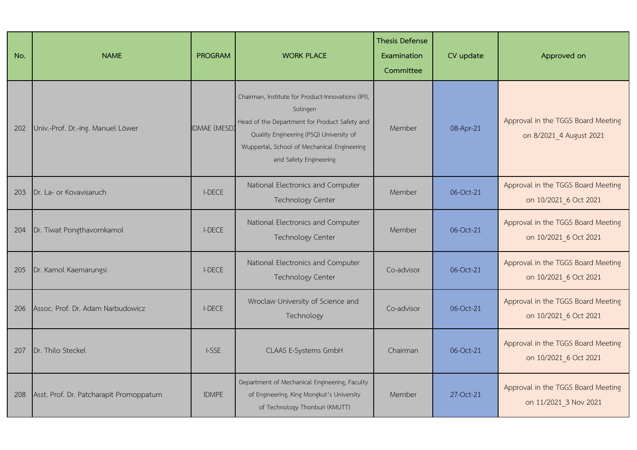| No. | <b>NAME</b>                             | <b>PROGRAM</b>      | <b>WORK PLACE</b>                                                                                                                                                                                                                   | <b>Thesis Defense</b><br>Examination<br>Committee | CV update | Approved on                                                   |
|-----|-----------------------------------------|---------------------|-------------------------------------------------------------------------------------------------------------------------------------------------------------------------------------------------------------------------------------|---------------------------------------------------|-----------|---------------------------------------------------------------|
| 202 | Univ.-Prof. Dr.-Ing. Manuel Löwer       | <b>IDMAE</b> (MESD) | Chairman, Institute for Product-Innovations (IPI),<br>Solingen<br>Head of the Department for Product Safety and<br>Quality Engineering (PSQ) University of<br>Wuppertal, School of Mechanical Engineering<br>and Safety Engineering | Member                                            | 08-Apr-21 | Approval in the TGGS Board Meeting<br>on 8/2021_4 August 2021 |
| 203 | Dr. La- or Kovavisaruch                 | <b>I-DECE</b>       | National Electronics and Computer<br><b>Technology Center</b>                                                                                                                                                                       | Member                                            | 06-Oct-21 | Approval in the TGGS Board Meeting<br>on 10/2021 6 Oct 2021   |
| 204 | Dr. Tiwat Pongthavornkamol              | <b>I-DECE</b>       | National Electronics and Computer<br>Technology Center                                                                                                                                                                              | Member                                            | 06-Oct-21 | Approval in the TGGS Board Meeting<br>on 10/2021 6 Oct 2021   |
| 205 | Dr. Kamol Kaemarungsi                   | <b>I-DECE</b>       | National Electronics and Computer<br><b>Technology Center</b>                                                                                                                                                                       | Co-advisor                                        | 06-Oct-21 | Approval in the TGGS Board Meeting<br>on 10/2021 6 Oct 2021   |
| 206 | Assoc. Prof. Dr. Adam Narbudowicz       | <b>I-DECE</b>       | Wroclaw University of Science and<br>Technology                                                                                                                                                                                     | Co-advisor                                        | 06-Oct-21 | Approval in the TGGS Board Meeting<br>on 10/2021 6 Oct 2021   |
| 207 | Dr. Thilo Steckel                       | I-SSE               | CLAAS E-Systems GmbH                                                                                                                                                                                                                | Chairman                                          | 06-Oct-21 | Approval in the TGGS Board Meeting<br>on 10/2021 6 Oct 2021   |
| 208 | Asst. Prof. Dr. Patcharapit Promoppatum | <b>IDMPE</b>        | Department of Mechanical Engineering, Faculty<br>of Engineering, King Mongkut's University<br>of Technology Thonburi (KMUTT)                                                                                                        | Member                                            | 27-Oct-21 | Approval in the TGGS Board Meeting<br>on 11/2021 3 Nov 2021   |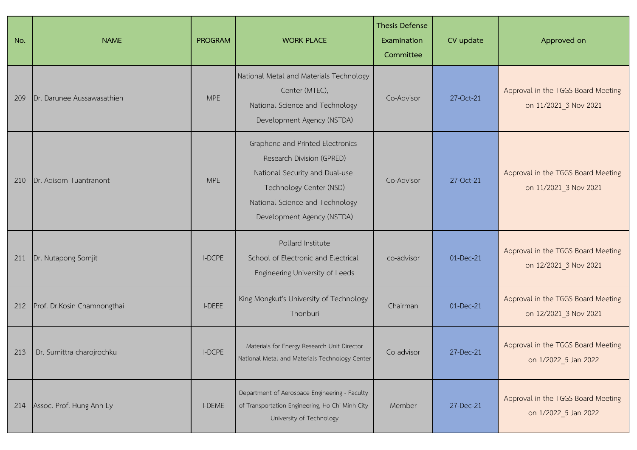| No. | <b>NAME</b>                     | <b>PROGRAM</b> | <b>WORK PLACE</b>                                                                                                                                                                           | <b>Thesis Defense</b><br>Examination<br>Committee | CV update | Approved on                                                 |
|-----|---------------------------------|----------------|---------------------------------------------------------------------------------------------------------------------------------------------------------------------------------------------|---------------------------------------------------|-----------|-------------------------------------------------------------|
| 209 | Dr. Darunee Aussawasathien      | <b>MPE</b>     | National Metal and Materials Technology<br>Center (MTEC),<br>National Science and Technology<br>Development Agency (NSTDA)                                                                  | Co-Advisor                                        | 27-Oct-21 | Approval in the TGGS Board Meeting<br>on 11/2021 3 Nov 2021 |
| 210 | Dr. Adisorn Tuantranont         | <b>MPE</b>     | Graphene and Printed Electronics<br>Research Division (GPRED)<br>National Security and Dual-use<br>Technology Center (NSD)<br>National Science and Technology<br>Development Agency (NSTDA) | Co-Advisor                                        | 27-Oct-21 | Approval in the TGGS Board Meeting<br>on 11/2021_3 Nov 2021 |
| 211 | Dr. Nutapong Somjit             | <b>I-DCPE</b>  | Pollard Institute<br>School of Electronic and Electrical<br>Engineering University of Leeds                                                                                                 | co-advisor                                        | 01-Dec-21 | Approval in the TGGS Board Meeting<br>on 12/2021 3 Nov 2021 |
| 212 | Prof. Dr.Kosin Chamnongthai     | I-DEEE         | King Mongkut's University of Technology<br>Thonburi                                                                                                                                         | Chairman                                          | 01-Dec-21 | Approval in the TGGS Board Meeting<br>on 12/2021_3 Nov 2021 |
|     | 213   Dr. Sumittra charojrochku | <b>I-DCPE</b>  | Materials for Energy Research Unit Director<br>National Metal and Materials Technology Center                                                                                               | Co advisor                                        | 27-Dec-21 | Approval in the TGGS Board Meeting<br>on 1/2022_5 Jan 2022  |
| 214 | Assoc. Prof. Hung Anh Ly        | I-DEME         | Department of Aerospace Engineering - Faculty<br>of Transportation Engineering, Ho Chi Minh City<br>University of Technology                                                                | Member                                            | 27-Dec-21 | Approval in the TGGS Board Meeting<br>on 1/2022_5 Jan 2022  |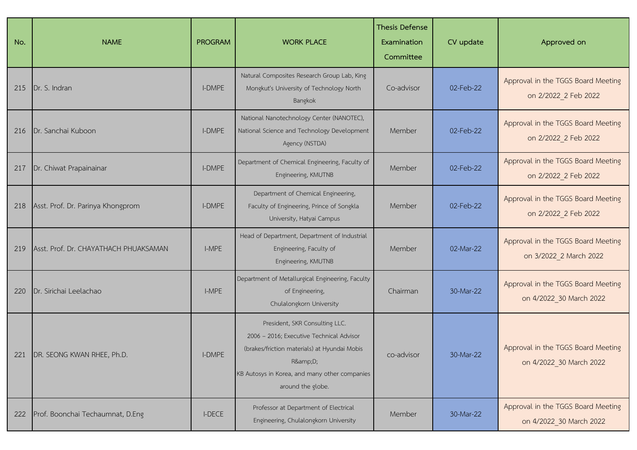| No. | <b>NAME</b>                           | <b>PROGRAM</b> | <b>WORK PLACE</b>                                                                                                                                                                                       | <b>Thesis Defense</b><br>Examination<br>Committee | CV update | Approved on                                                   |
|-----|---------------------------------------|----------------|---------------------------------------------------------------------------------------------------------------------------------------------------------------------------------------------------------|---------------------------------------------------|-----------|---------------------------------------------------------------|
| 215 | Dr. S. Indran                         | I-DMPE         | Natural Composites Research Group Lab, King<br>Mongkut's University of Technology North<br>Bangkok                                                                                                      | Co-advisor                                        | 02-Feb-22 | Approval in the TGGS Board Meeting<br>on 2/2022 2 Feb 2022    |
| 216 | Dr. Sanchai Kuboon                    | <b>I-DMPE</b>  | National Nanotechnology Center (NANOTEC),<br>National Science and Technology Development<br>Agency (NSTDA)                                                                                              | Member                                            | 02-Feb-22 | Approval in the TGGS Board Meeting<br>on 2/2022 2 Feb 2022    |
| 217 | Dr. Chiwat Prapainainar               | I-DMPE         | Department of Chemical Engineering, Faculty of<br>Engineering, KMUTNB                                                                                                                                   | Member                                            | 02-Feb-22 | Approval in the TGGS Board Meeting<br>on 2/2022_2 Feb 2022    |
| 218 | Asst. Prof. Dr. Parinya Khongprom     | I-DMPE         | Department of Chemical Engineering,<br>Faculty of Engineering, Prince of Songkla<br>University, Hatyai Campus                                                                                           | Member                                            | 02-Feb-22 | Approval in the TGGS Board Meeting<br>on 2/2022 2 Feb 2022    |
| 219 | Asst. Prof. Dr. CHAYATHACH PHUAKSAMAN | I-MPE          | Head of Department, Department of Industrial<br>Engineering, Faculty of<br>Engineering, KMUTNB                                                                                                          | Member                                            | 02-Mar-22 | Approval in the TGGS Board Meeting<br>on 3/2022_2 March 2022  |
| 220 | Dr. Sirichai Leelachao                | I-MPE          | Department of Metallurgical Engineering, Faculty<br>of Engineering,<br>Chulalongkorn University                                                                                                         | Chairman                                          | 30-Mar-22 | Approval in the TGGS Board Meeting<br>on 4/2022_30 March 2022 |
| 221 | DR. SEONG KWAN RHEE, Ph.D.            | <b>I-DMPE</b>  | President, SKR Consulting LLC.<br>2006 - 2016; Executive Technical Advisor<br>(brakes/friction materials) at Hyundai Mobis<br>R&D<br>KB Autosys in Korea, and many other companies<br>around the globe. | co-advisor                                        | 30-Mar-22 | Approval in the TGGS Board Meeting<br>on 4/2022 30 March 2022 |
| 222 | Prof. Boonchai Techaumnat, D.Eng      | <b>I-DECE</b>  | Professor at Department of Electrical<br>Engineering, Chulalongkorn University                                                                                                                          | Member                                            | 30-Mar-22 | Approval in the TGGS Board Meeting<br>on 4/2022 30 March 2022 |